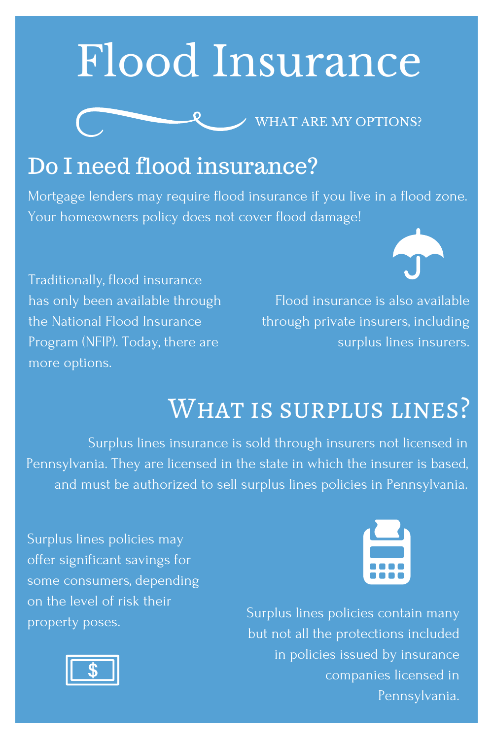# Flood Insurance



#### Do I need flood insurance?

Mortgage lenders may require flood insurance if you live in a flood zone. Your homeowners policy does not cover flood damage!

Traditionally, flood insurance has only been available through the National Flood Insurance Program (NFIP). Today, there are more options.

Flood insurance is also available through private insurers, including surplus lines insurers.

### WHAT IS SURPLUS LINES?

Surplus lines insurance is sold through insurers not licensed in Pennsylvania. They are licensed in the state in which the insurer is based, and must be authorized to sell surplus lines policies in Pennsylvania.

Surplus lines policies may offer significant savings for some consumers, depending on the level of risk their property poses.



Surplus lines policies contain many but not all the protections included in policies issued by insurance companies licensed in Pennsylvania.